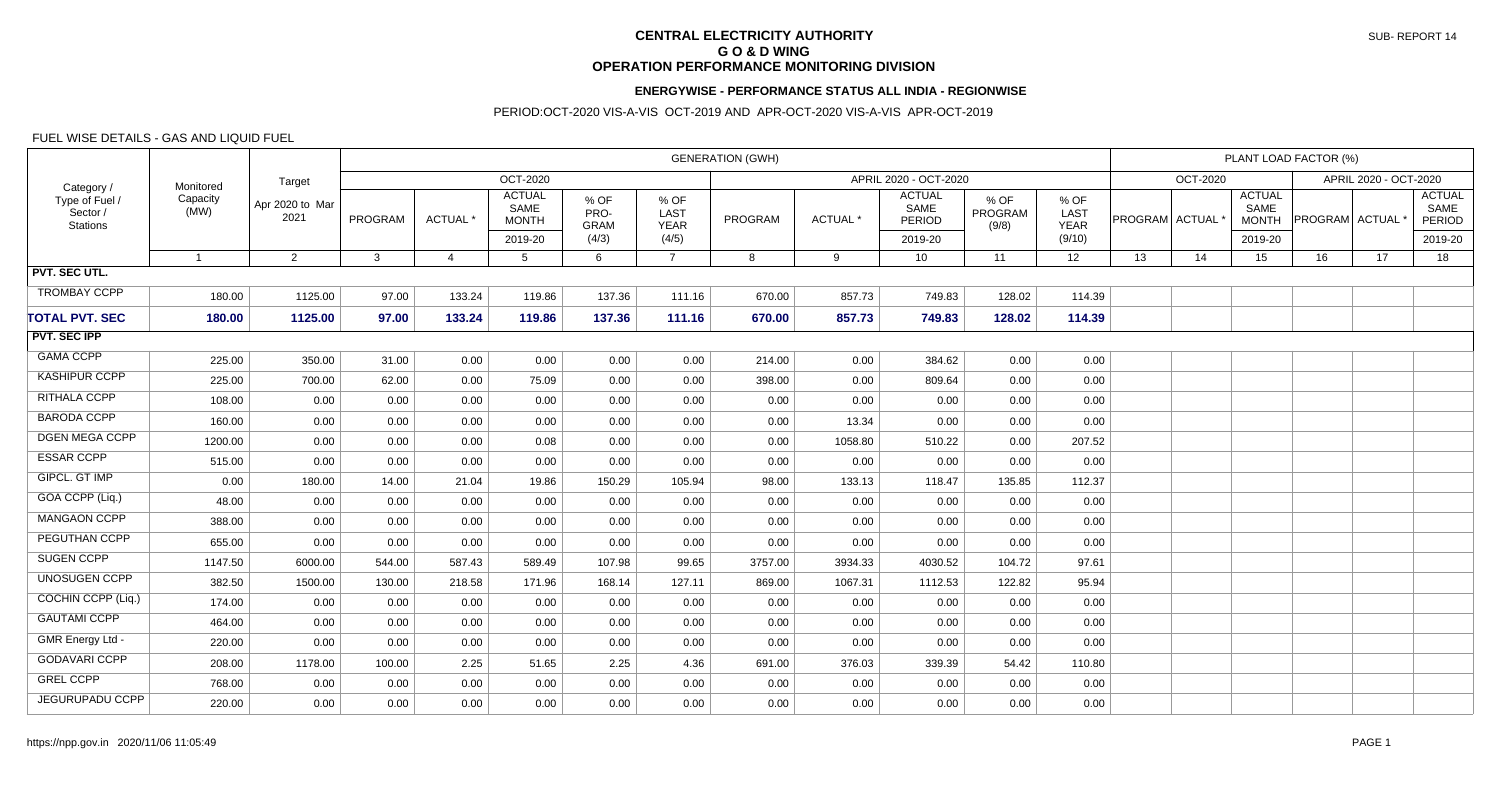# **CENTRAL ELECTRICITY AUTHORITY G O & D WING OPERATION PERFORMANCE MONITORING DIVISION**

#### **ENERGYWISE - PERFORMANCE STATUS ALL INDIA - REGIONWISE**

### PERIOD:OCT-2020 VIS-A-VIS OCT-2019 AND APR-OCT-2020 VIS-A-VIS APR-OCT-2019

### FUEL WISE DETAILS - GAS AND LIQUID FUEL

| Category /<br>Type of Fuel /<br>Sector /<br><b>Stations</b> | Monitored<br>Capacity<br>(MW) | Target<br>Apr 2020 to Mar<br>2021 | <b>GENERATION (GWH)</b> |                     |                                       |                             |                             |         |         |                                 |                          |                             | PLANT LOAD FACTOR (%) |                 |                                       |                       |    |                                 |  |
|-------------------------------------------------------------|-------------------------------|-----------------------------------|-------------------------|---------------------|---------------------------------------|-----------------------------|-----------------------------|---------|---------|---------------------------------|--------------------------|-----------------------------|-----------------------|-----------------|---------------------------------------|-----------------------|----|---------------------------------|--|
|                                                             |                               |                                   | <b>OCT-2020</b>         |                     |                                       |                             |                             |         |         | APRIL 2020 - OCT-2020           |                          |                             |                       | <b>OCT-2020</b> |                                       | APRIL 2020 - OCT-2020 |    |                                 |  |
|                                                             |                               |                                   | <b>PROGRAM</b>          | ACTUAL <sup>*</sup> | <b>ACTUAL</b><br>SAME<br><b>MONTH</b> | % OF<br>PRO-<br><b>GRAM</b> | % OF<br>LAST<br><b>YEAR</b> | PROGRAM | ACTUAL* | <b>ACTUAL</b><br>SAME<br>PERIOD | % OF<br>PROGRAM<br>(9/8) | % OF<br>LAST<br><b>YEAR</b> | PROGRAM ACTUAL        |                 | <b>ACTUAL</b><br>SAME<br><b>MONTH</b> | PROGRAM ACTUAL        |    | <b>ACTUAL</b><br>SAME<br>PERIOD |  |
|                                                             |                               |                                   |                         |                     | 2019-20                               | (4/3)                       | (4/5)                       |         |         | 2019-20                         |                          | (9/10)                      |                       |                 | 2019-20                               |                       |    | 2019-20                         |  |
| PVT. SEC UTL.                                               | $\overline{1}$                | 2                                 | 3                       | $\overline{4}$      | -5                                    | 6                           | $\overline{7}$              | 8       | 9       | 10 <sup>°</sup>                 | 11                       | 12                          | 13                    | 14              | 15                                    | 16                    | 17 | 18                              |  |
|                                                             |                               |                                   |                         |                     |                                       |                             |                             |         |         |                                 |                          |                             |                       |                 |                                       |                       |    |                                 |  |
| <b>TROMBAY CCPP</b>                                         | 180.00                        | 1125.00                           | 97.00                   | 133.24              | 119.86                                | 137.36                      | 111.16                      | 670.00  | 857.73  | 749.83                          | 128.02                   | 114.39                      |                       |                 |                                       |                       |    |                                 |  |
| <b>TOTAL PVT. SEC</b>                                       | 180.00                        | 1125.00                           | 97.00                   | 133.24              | 119.86                                | 137.36                      | 111.16                      | 670.00  | 857.73  | 749.83                          | 128.02                   | 114.39                      |                       |                 |                                       |                       |    |                                 |  |
| <b>PVT. SEC IPP</b>                                         |                               |                                   |                         |                     |                                       |                             |                             |         |         |                                 |                          |                             |                       |                 |                                       |                       |    |                                 |  |
| <b>GAMA CCPP</b>                                            | 225.00                        | 350.00                            | 31.00                   | 0.00                | 0.00                                  | 0.00                        | 0.00                        | 214.00  | 0.00    | 384.62                          | 0.00                     | 0.00                        |                       |                 |                                       |                       |    |                                 |  |
| <b>KASHIPUR CCPP</b>                                        | 225.00                        | 700.00                            | 62.00                   | 0.00                | 75.09                                 | 0.00                        | 0.00                        | 398.00  | 0.00    | 809.64                          | 0.00                     | 0.00                        |                       |                 |                                       |                       |    |                                 |  |
| RITHALA CCPP                                                | 108.00                        | 0.00                              | 0.00                    | 0.00                | 0.00                                  | 0.00                        | 0.00                        | 0.00    | 0.00    | 0.00                            | 0.00                     | 0.00                        |                       |                 |                                       |                       |    |                                 |  |
| <b>BARODA CCPP</b>                                          | 160.00                        | 0.00                              | 0.00                    | 0.00                | 0.00                                  | 0.00                        | 0.00                        | 0.00    | 13.34   | 0.00                            | 0.00                     | 0.00                        |                       |                 |                                       |                       |    |                                 |  |
| <b>DGEN MEGA CCPP</b>                                       | 1200.00                       | 0.00                              | 0.00                    | 0.00                | 0.08                                  | 0.00                        | 0.00                        | 0.00    | 1058.80 | 510.22                          | 0.00                     | 207.52                      |                       |                 |                                       |                       |    |                                 |  |
| <b>ESSAR CCPP</b>                                           | 515.00                        | 0.00                              | 0.00                    | 0.00                | 0.00                                  | 0.00                        | 0.00                        | 0.00    | 0.00    | 0.00                            | 0.00                     | 0.00                        |                       |                 |                                       |                       |    |                                 |  |
| GIPCL. GT IMP                                               | 0.00                          | 180.00                            | 14.00                   | 21.04               | 19.86                                 | 150.29                      | 105.94                      | 98.00   | 133.13  | 118.47                          | 135.85                   | 112.37                      |                       |                 |                                       |                       |    |                                 |  |
| GOA CCPP (Liq.)                                             | 48.00                         | 0.00                              | 0.00                    | 0.00                | 0.00                                  | 0.00                        | 0.00                        | 0.00    | 0.00    | 0.00                            | 0.00                     | 0.00                        |                       |                 |                                       |                       |    |                                 |  |
| <b>MANGAON CCPP</b>                                         | 388.00                        | 0.00                              | 0.00                    | 0.00                | 0.00                                  | 0.00                        | 0.00                        | 0.00    | 0.00    | 0.00                            | 0.00                     | 0.00                        |                       |                 |                                       |                       |    |                                 |  |
| PEGUTHAN CCPP                                               | 655.00                        | 0.00                              | 0.00                    | 0.00                | 0.00                                  | 0.00                        | 0.00                        | 0.00    | 0.00    | 0.00                            | 0.00                     | 0.00                        |                       |                 |                                       |                       |    |                                 |  |
| <b>SUGEN CCPP</b>                                           | 1147.50                       | 6000.00                           | 544.00                  | 587.43              | 589.49                                | 107.98                      | 99.65                       | 3757.00 | 3934.33 | 4030.52                         | 104.72                   | 97.61                       |                       |                 |                                       |                       |    |                                 |  |
| <b>UNOSUGEN CCPP</b>                                        | 382.50                        | 1500.00                           | 130.00                  | 218.58              | 171.96                                | 168.14                      | 127.11                      | 869.00  | 1067.31 | 1112.53                         | 122.82                   | 95.94                       |                       |                 |                                       |                       |    |                                 |  |
| COCHIN CCPP (Liq.)                                          | 174.00                        | 0.00                              | 0.00                    | 0.00                | 0.00                                  | 0.00                        | 0.00                        | 0.00    | 0.00    | 0.00                            | 0.00                     | 0.00                        |                       |                 |                                       |                       |    |                                 |  |
| <b>GAUTAMI CCPP</b>                                         | 464.00                        | 0.00                              | 0.00                    | 0.00                | 0.00                                  | 0.00                        | 0.00                        | 0.00    | 0.00    | 0.00                            | 0.00                     | 0.00                        |                       |                 |                                       |                       |    |                                 |  |
| GMR Energy Ltd -                                            | 220.00                        | 0.00                              | 0.00                    | 0.00                | 0.00                                  | 0.00                        | 0.00                        | 0.00    | 0.00    | 0.00                            | 0.00                     | 0.00                        |                       |                 |                                       |                       |    |                                 |  |
| <b>GODAVARI CCPP</b>                                        | 208.00                        | 1178.00                           | 100.00                  | 2.25                | 51.65                                 | 2.25                        | 4.36                        | 691.00  | 376.03  | 339.39                          | 54.42                    | 110.80                      |                       |                 |                                       |                       |    |                                 |  |
| <b>GREL CCPP</b>                                            | 768.00                        | 0.00                              | 0.00                    | 0.00                | 0.00                                  | 0.00                        | 0.00                        | 0.00    | 0.00    | 0.00                            | 0.00                     | 0.00                        |                       |                 |                                       |                       |    |                                 |  |
| JEGURUPADU CCPP                                             | 220.00                        | 0.00                              | 0.00                    | 0.00                | 0.00                                  | 0.00                        | 0.00                        | 0.00    | 0.00    | 0.00                            | 0.00                     | 0.00                        |                       |                 |                                       |                       |    |                                 |  |